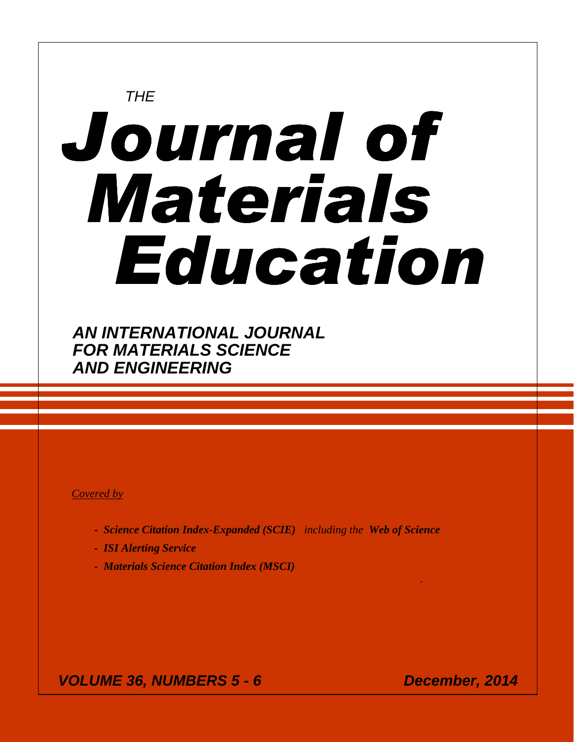# **THE** Journal of Materials Education

**AN INTERNATIONAL JOURNAL FOR MATERIALS SCIENCE AND ENGINEERING** 

# *Covered by*

**-** *Science Citation Index-Expanded (SCIE) including the Web of Science*

*.*

- *ISI Alerting Service*
- *Materials Science Citation Index (MSCI)*

 **VOLUME 36, NUMBERS 5 - 6 December, 2014**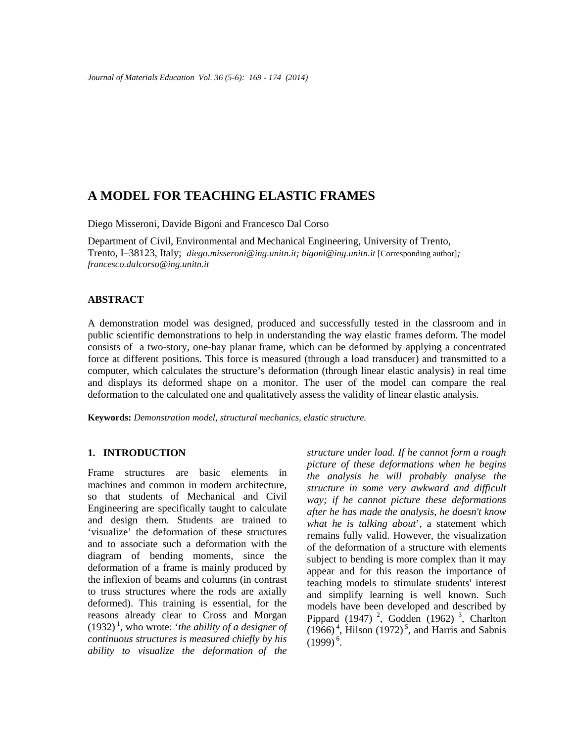# **A MODEL FOR TEACHING ELASTIC FRAMES**

Diego Misseroni, Davide Bigoni and Francesco Dal Corso

Department of Civil, Environmental and Mechanical Engineering, University of Trento, Trento, I–38123, Italy; *diego.misseroni@ing.unitn.it; bigoni@ing.unitn.it* [Corresponding author]*; francesco.dalcorso@ing.unitn.it* 

#### **ABSTRACT**

A demonstration model was designed, produced and successfully tested in the classroom and in public scientific demonstrations to help in understanding the way elastic frames deform. The model consists of a two-story, one-bay planar frame, which can be deformed by applying a concentrated force at different positions. This force is measured (through a load transducer) and transmitted to a computer, which calculates the structure's deformation (through linear elastic analysis) in real time and displays its deformed shape on a monitor. The user of the model can compare the real deformation to the calculated one and qualitatively assess the validity of linear elastic analysis.

**Keywords:** *Demonstration model, structural mechanics, elastic structure.* 

#### **1. INTRODUCTION**

Frame structures are basic elements in machines and common in modern architecture, so that students of Mechanical and Civil Engineering are specifically taught to calculate and design them. Students are trained to 'visualize' the deformation of these structures and to associate such a deformation with the diagram of bending moments, since the deformation of a frame is mainly produced by the inflexion of beams and columns (in contrast to truss structures where the rods are axially deformed). This training is essential, for the reasons already clear to Cross and Morgan  $(1932)^{1}$ , who wrote: '*the ability of a designer of continuous structures is measured chiefly by his ability to visualize the deformation of the* 

*structure under load. If he cannot form a rough picture of these deformations when he begins the analysis he will probably analyse the structure in some very awkward and difficult way; if he cannot picture these deformations after he has made the analysis, he doesn't know what he is talking about*', a statement which remains fully valid. However, the visualization of the deformation of a structure with elements subject to bending is more complex than it may appear and for this reason the importance of teaching models to stimulate students' interest and simplify learning is well known. Such models have been developed and described by Pippard (1947)<sup>2</sup>, Godden (1962)<sup>3</sup>, Charlton  $(1966)^4$ , Hilson  $(1972)^5$ , and Harris and Sabnis  $(1999)^{6}$ .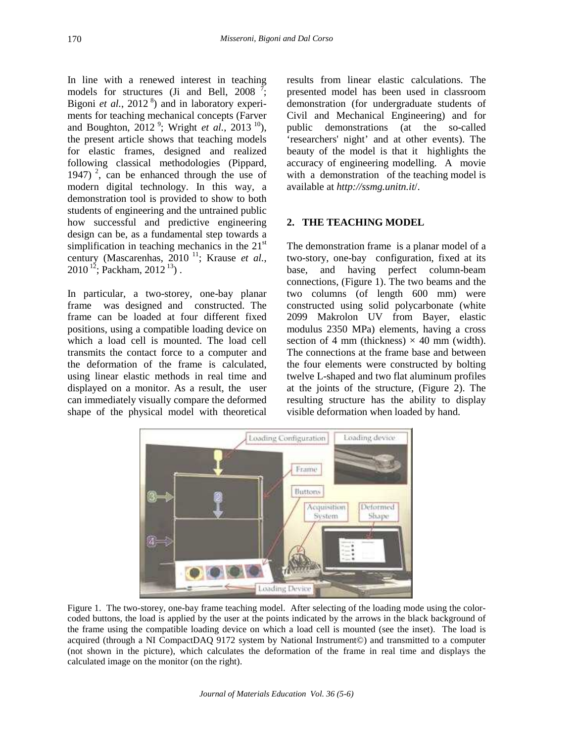In line with a renewed interest in teaching models for structures (Ji and Bell,  $2008<sup>7</sup>$ ; Bigoni *et al.*, 2012<sup>8</sup>) and in laboratory experiments for teaching mechanical concepts (Farver and Boughton, 2012<sup>9</sup>; Wright *et al.*, 2013<sup>10</sup>), the present article shows that teaching models for elastic frames, designed and realized following classical methodologies (Pippard, 1947)<sup>2</sup>, can be enhanced through the use of modern digital technology. In this way, a demonstration tool is provided to show to both students of engineering and the untrained public how successful and predictive engineering design can be, as a fundamental step towards a simplification in teaching mechanics in the  $21<sup>st</sup>$ century (Mascarenhas, 2010<sup>11</sup>; Krause *et al.*,  $2010^{12}$ : Packham,  $2012^{13}$ ).

In particular, a two-storey, one-bay planar frame was designed and constructed. The frame can be loaded at four different fixed positions, using a compatible loading device on which a load cell is mounted. The load cell transmits the contact force to a computer and the deformation of the frame is calculated, using linear elastic methods in real time and displayed on a monitor. As a result, the user can immediately visually compare the deformed shape of the physical model with theoretical results from linear elastic calculations. The presented model has been used in classroom demonstration (for undergraduate students of Civil and Mechanical Engineering) and for public demonstrations (at the so-called 'researchers' night' and at other events). The beauty of the model is that it highlights the accuracy of engineering modelling. A movie with a demonstration of the teaching model is available at *http://ssmg.unitn.it*/.

## **2. THE TEACHING MODEL**

The demonstration frame is a planar model of a two-story, one-bay configuration, fixed at its base, and having perfect column-beam connections, (Figure 1). The two beams and the two columns (of length 600 mm) were constructed using solid polycarbonate (white 2099 Makrolon UV from Bayer, elastic modulus 2350 MPa) elements, having a cross section of 4 mm (thickness)  $\times$  40 mm (width). The connections at the frame base and between the four elements were constructed by bolting twelve L-shaped and two flat aluminum profiles at the joints of the structure, (Figure 2). The resulting structure has the ability to display visible deformation when loaded by hand.



Figure 1. The two-storey, one-bay frame teaching model. After selecting of the loading mode using the colorcoded buttons, the load is applied by the user at the points indicated by the arrows in the black background of the frame using the compatible loading device on which a load cell is mounted (see the inset). The load is acquired (through a NI CompactDAQ 9172 system by National Instrument©) and transmitted to a computer (not shown in the picture), which calculates the deformation of the frame in real time and displays the calculated image on the monitor (on the right).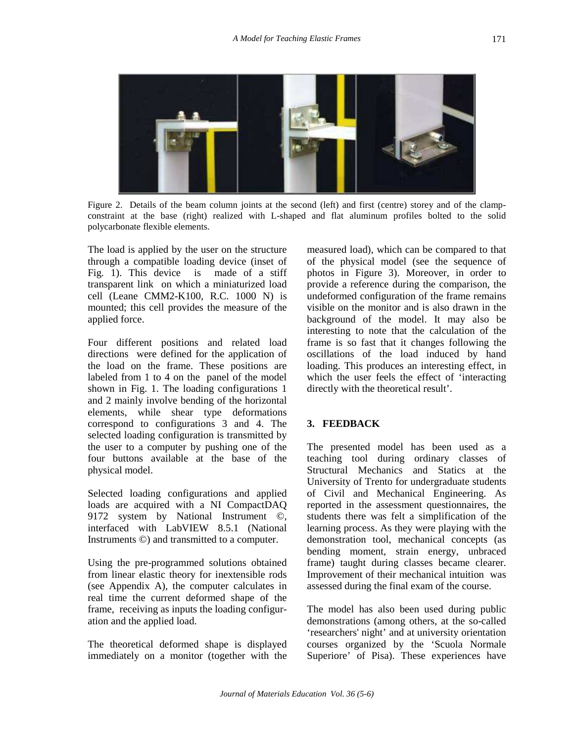

Figure 2. Details of the beam column joints at the second (left) and first (centre) storey and of the clampconstraint at the base (right) realized with L-shaped and flat aluminum profiles bolted to the solid polycarbonate flexible elements.

The load is applied by the user on the structure through a compatible loading device (inset of Fig. 1). This device is made of a stiff transparent link on which a miniaturized load cell (Leane CMM2-K100, R.C. 1000 N) is mounted; this cell provides the measure of the applied force.

Four different positions and related load directions were defined for the application of the load on the frame. These positions are labeled from 1 to 4 on the panel of the model shown in Fig. 1. The loading configurations 1 and 2 mainly involve bending of the horizontal elements, while shear type deformations correspond to configurations 3 and 4. The selected loading configuration is transmitted by the user to a computer by pushing one of the four buttons available at the base of the physical model.

Selected loading configurations and applied loads are acquired with a NI CompactDAQ 9172 system by National Instrument ©, interfaced with LabVIEW 8.5.1 (National Instruments ©) and transmitted to a computer.

Using the pre-programmed solutions obtained from linear elastic theory for inextensible rods (see Appendix A), the computer calculates in real time the current deformed shape of the frame, receiving as inputs the loading configuration and the applied load.

The theoretical deformed shape is displayed immediately on a monitor (together with the measured load), which can be compared to that of the physical model (see the sequence of photos in Figure 3). Moreover, in order to provide a reference during the comparison, the undeformed configuration of the frame remains visible on the monitor and is also drawn in the background of the model. It may also be interesting to note that the calculation of the frame is so fast that it changes following the oscillations of the load induced by hand loading. This produces an interesting effect, in which the user feels the effect of 'interacting directly with the theoretical result'.

## **3. FEEDBACK**

The presented model has been used as a teaching tool during ordinary classes of Structural Mechanics and Statics at the University of Trento for undergraduate students of Civil and Mechanical Engineering. As reported in the assessment questionnaires, the students there was felt a simplification of the learning process. As they were playing with the demonstration tool, mechanical concepts (as bending moment, strain energy, unbraced frame) taught during classes became clearer. Improvement of their mechanical intuition was assessed during the final exam of the course.

The model has also been used during public demonstrations (among others, at the so-called 'researchers' night' and at university orientation courses organized by the 'Scuola Normale Superiore' of Pisa). These experiences have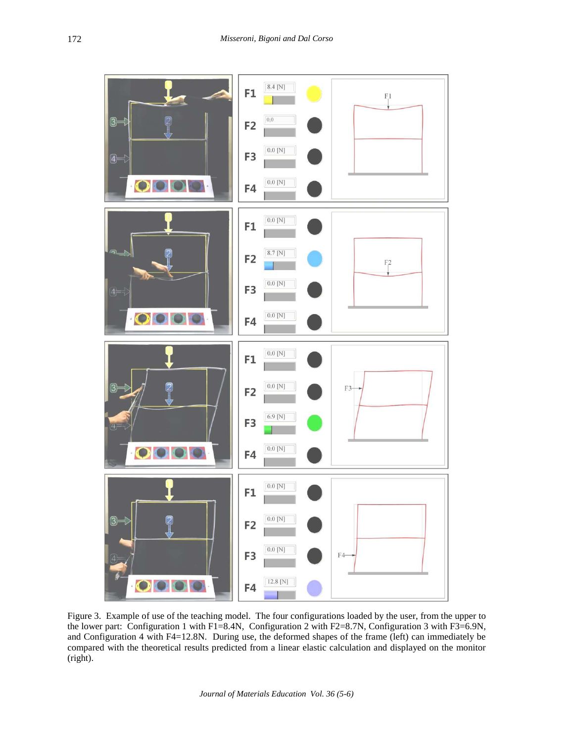

Figure 3. Example of use of the teaching model. The four configurations loaded by the user, from the upper to the lower part: Configuration 1 with F1=8.4N, Configuration 2 with F2=8.7N, Configuration 3 with F3=6.9N, and Configuration 4 with F4=12.8N. During use, the deformed shapes of the frame (left) can immediately be compared with the theoretical results predicted from a linear elastic calculation and displayed on the monitor (right).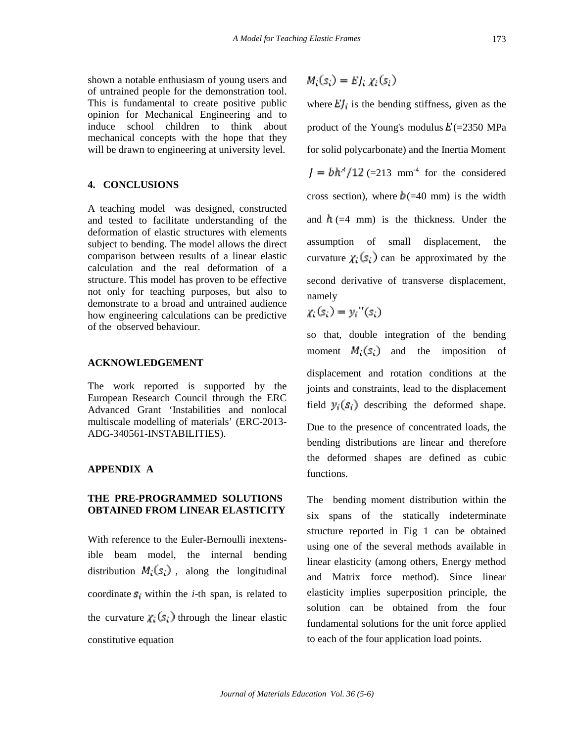shown a notable enthusiasm of young users and of untrained people for the demonstration tool. This is fundamental to create positive public opinion for Mechanical Engineering and to induce school children to think about mechanical concepts with the hope that they will be drawn to engineering at university level.

#### **4. CONCLUSIONS**

A teaching model was designed, constructed and tested to facilitate understanding of the deformation of elastic structures with elements subject to bending. The model allows the direct comparison between results of a linear elastic calculation and the real deformation of a structure. This model has proven to be effective not only for teaching purposes, but also to demonstrate to a broad and untrained audience how engineering calculations can be predictive of the observed behaviour.

#### **ACKNOWLEDGEMENT**

The work reported is supported by the European Research Council through the ERC Advanced Grant 'Instabilities and nonlocal multiscale modelling of materials' (ERC-2013- ADG-340561-INSTABILITIES).

#### **APPENDIX A**

## **THE PRE-PROGRAMMED SOLUTIONS OBTAINED FROM LINEAR ELASTICITY**

With reference to the Euler-Bernoulli inextensible beam model, the internal bending distribution  $M_s(s)$ , along the longitudinal coordinate  $s_i$  within the *i*-th span, is related to the curvature  $\chi(s)$  through the linear elastic constitutive equation

$$
M_i(s_i) = E f_i \chi_i(s_i).
$$

where  $E_1$  is the bending stiffness, given as the product of the Young's modulus  $E(=2350 \text{ MPa})$ for solid polycarbonate) and the Inertia Moment  $f = bh^{-1}/12$  (=213 mm<sup>-4</sup> for the considered cross section), where  $b(=40 \text{ mm})$  is the width and  $\hbar$  (=4 mm) is the thickness. Under the assumption of small displacement, the curvature  $\chi$  (s) can be approximated by the second derivative of transverse displacement, namely

$$
\chi_i(s_i) = y_i''(s_i)
$$

so that, double integration of the bending moment  $M_1(s)$  and the imposition of

displacement and rotation conditions at the joints and constraints, lead to the displacement field  $y_i(s_i)$  describing the deformed shape.

Due to the presence of concentrated loads, the bending distributions are linear and therefore the deformed shapes are defined as cubic functions.

The bending moment distribution within the six spans of the statically indeterminate structure reported in Fig 1 can be obtained using one of the several methods available in linear elasticity (among others, Energy method and Matrix force method). Since linear elasticity implies superposition principle, the solution can be obtained from the four fundamental solutions for the unit force applied to each of the four application load points.